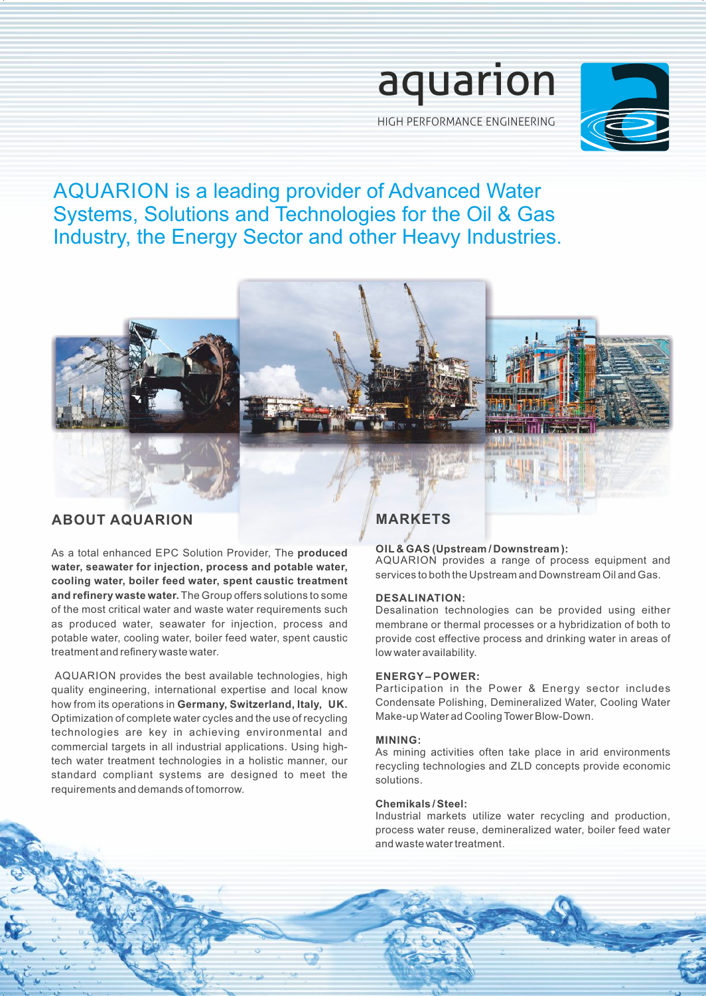

HIGH PERFORMANCE ENGINEERING

# AQUARION is a leading provider of Advanced Water Systems, Solutions and Technologies for the Oil & Gas Industry, the Energy Sector and other Heavy Industries.



As a total enhanced EPC Solution Provider, The **produced water, seawater for injection, process and potable water, cooling water, boiler feed water, spent caustic treatment and refinery waste water.** The Group offers solutions to some of the most critical water and waste water requirements such as produced water, seawater for injection, process and potable water, cooling water, boiler feed water, spent caustic treatment and refinery waste water.

AQUARION provides the best available technologies, high quality engineering, international expertise and local know how from its operations in **Germany, Switzerland, Italy, UK.** Optimization of complete water cycles and the use of recycling technologies are key in achieving environmental and commercial targets in all industrial applications. Using hightech water treatment technologies in a holistic manner, our standard compliant systems are designed to meet the requirements and demands of tomorrow.

# **MARKETS**

# **OIL & GAS (Upstream / Downstream ):**

AQUARION provides a range of process equipment and services to both the Upstream and Downstream Oil and Gas.

# **DESALINATION:**

Desalination technologies can be provided using either membrane or thermal processes or a hybridization of both to provide cost effective process and drinking water in areas of low water availability.

# **ENERGY – POWER:**

Participation in the Power & Energy sector includes Condensate Polishing, Demineralized Water, Cooling Water Make-up Water ad Cooling Tower Blow-Down.

# **MINING:**

As mining activities often take place in arid environments recycling technologies and ZLD concepts provide economic solutions.

# **Chemikals / Steel:**

Industrial markets utilize water recycling and production, process water reuse, demineralized water, boiler feed water and waste water treatment.